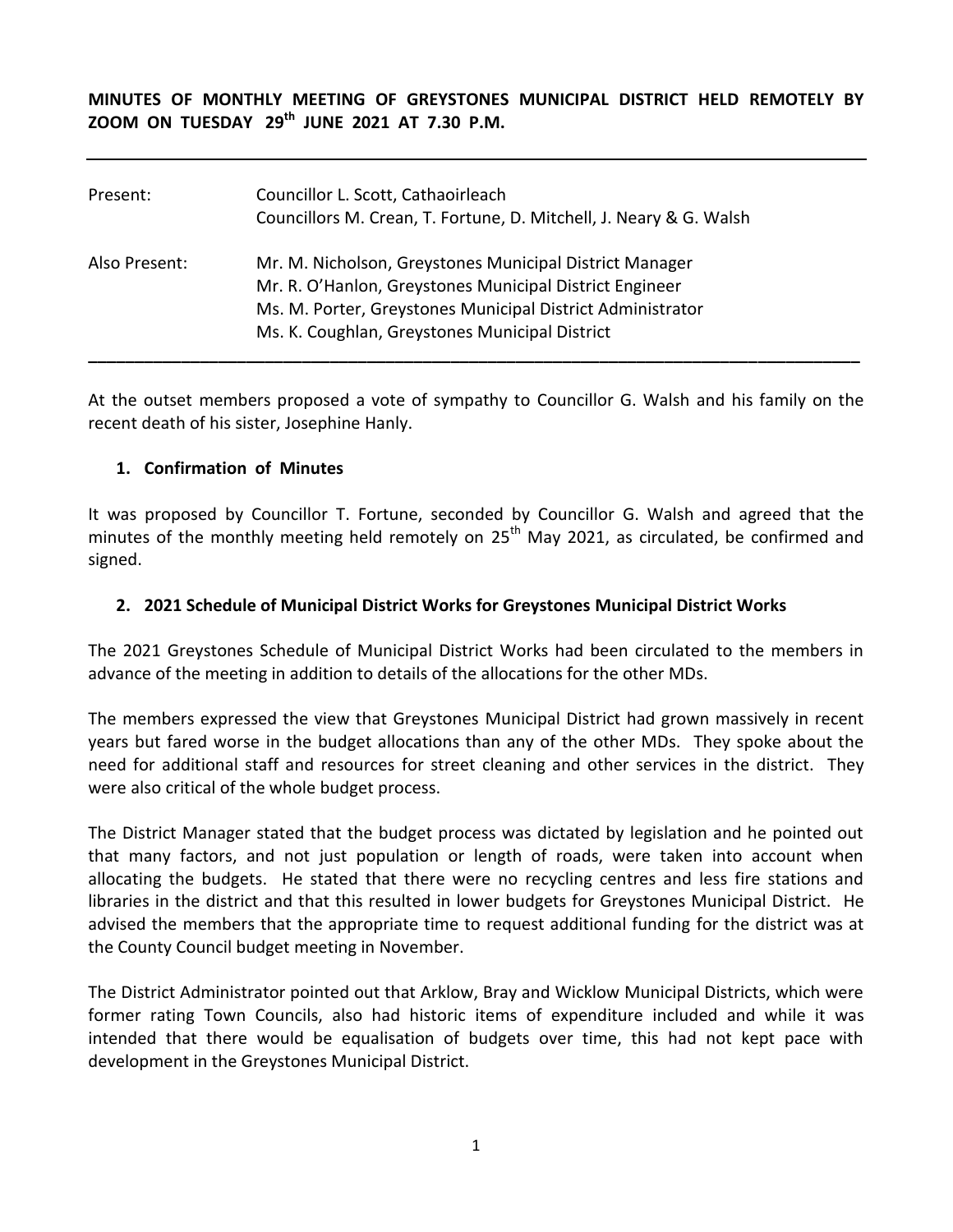**MINUTES OF MONTHLY MEETING OF GREYSTONES MUNICIPAL DISTRICT HELD REMOTELY BY ZOOM ON TUESDAY 29 th JUNE 2021 AT 7.30 P.M.** 

| Present:      | Councillor L. Scott, Cathaoirleach<br>Councillors M. Crean, T. Fortune, D. Mitchell, J. Neary & G. Walsh                                                                                                                           |
|---------------|------------------------------------------------------------------------------------------------------------------------------------------------------------------------------------------------------------------------------------|
| Also Present: | Mr. M. Nicholson, Greystones Municipal District Manager<br>Mr. R. O'Hanlon, Greystones Municipal District Engineer<br>Ms. M. Porter, Greystones Municipal District Administrator<br>Ms. K. Coughlan, Greystones Municipal District |

At the outset members proposed a vote of sympathy to Councillor G. Walsh and his family on the recent death of his sister, Josephine Hanly.

#### **1. Confirmation of Minutes**

It was proposed by Councillor T. Fortune, seconded by Councillor G. Walsh and agreed that the minutes of the monthly meeting held remotely on 25<sup>th</sup> May 2021, as circulated, be confirmed and signed.

#### **2. 2021 Schedule of Municipal District Works for Greystones Municipal District Works**

The 2021 Greystones Schedule of Municipal District Works had been circulated to the members in advance of the meeting in addition to details of the allocations for the other MDs.

The members expressed the view that Greystones Municipal District had grown massively in recent years but fared worse in the budget allocations than any of the other MDs. They spoke about the need for additional staff and resources for street cleaning and other services in the district. They were also critical of the whole budget process.

The District Manager stated that the budget process was dictated by legislation and he pointed out that many factors, and not just population or length of roads, were taken into account when allocating the budgets. He stated that there were no recycling centres and less fire stations and libraries in the district and that this resulted in lower budgets for Greystones Municipal District. He advised the members that the appropriate time to request additional funding for the district was at the County Council budget meeting in November.

The District Administrator pointed out that Arklow, Bray and Wicklow Municipal Districts, which were former rating Town Councils, also had historic items of expenditure included and while it was intended that there would be equalisation of budgets over time, this had not kept pace with development in the Greystones Municipal District.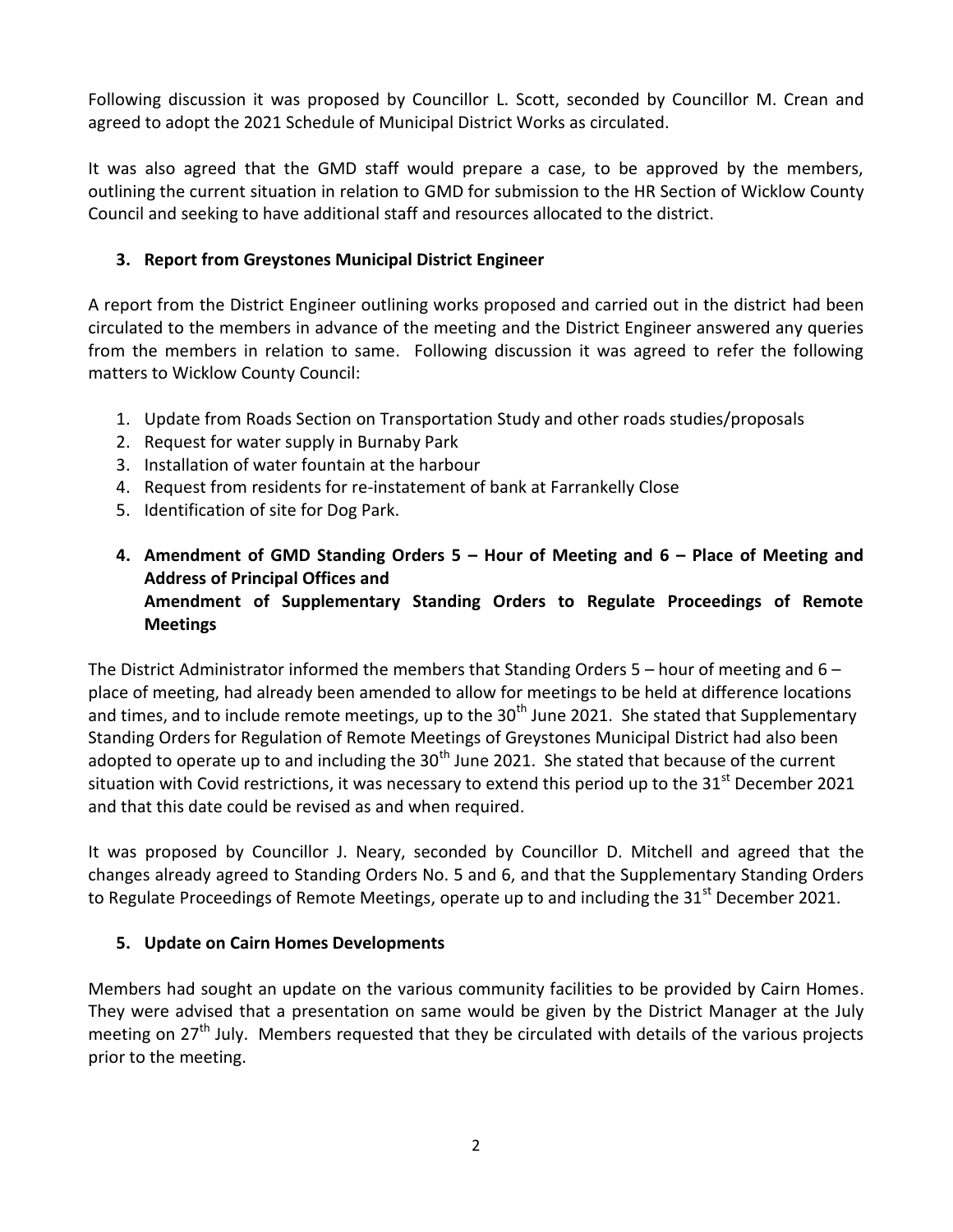Following discussion it was proposed by Councillor L. Scott, seconded by Councillor M. Crean and agreed to adopt the 2021 Schedule of Municipal District Works as circulated.

It was also agreed that the GMD staff would prepare a case, to be approved by the members, outlining the current situation in relation to GMD for submission to the HR Section of Wicklow County Council and seeking to have additional staff and resources allocated to the district.

# **3. Report from Greystones Municipal District Engineer**

A report from the District Engineer outlining works proposed and carried out in the district had been circulated to the members in advance of the meeting and the District Engineer answered any queries from the members in relation to same. Following discussion it was agreed to refer the following matters to Wicklow County Council:

- 1. Update from Roads Section on Transportation Study and other roads studies/proposals
- 2. Request for water supply in Burnaby Park
- 3. Installation of water fountain at the harbour
- 4. Request from residents for re-instatement of bank at Farrankelly Close
- 5. Identification of site for Dog Park.
- **4. Amendment of GMD Standing Orders 5 – Hour of Meeting and 6 – Place of Meeting and Address of Principal Offices and Amendment of Supplementary Standing Orders to Regulate Proceedings of Remote Meetings**

The District Administrator informed the members that Standing Orders  $5 -$  hour of meeting and  $6$ place of meeting, had already been amended to allow for meetings to be held at difference locations and times, and to include remote meetings, up to the 30<sup>th</sup> June 2021. She stated that Supplementary Standing Orders for Regulation of Remote Meetings of Greystones Municipal District had also been adopted to operate up to and including the  $30<sup>th</sup>$  June 2021. She stated that because of the current situation with Covid restrictions, it was necessary to extend this period up to the  $31<sup>st</sup>$  December 2021 and that this date could be revised as and when required.

It was proposed by Councillor J. Neary, seconded by Councillor D. Mitchell and agreed that the changes already agreed to Standing Orders No. 5 and 6, and that the Supplementary Standing Orders to Regulate Proceedings of Remote Meetings, operate up to and including the 31 $^{\text{st}}$  December 2021.

## **5. Update on Cairn Homes Developments**

Members had sought an update on the various community facilities to be provided by Cairn Homes. They were advised that a presentation on same would be given by the District Manager at the July meeting on 27<sup>th</sup> July. Members requested that they be circulated with details of the various projects prior to the meeting.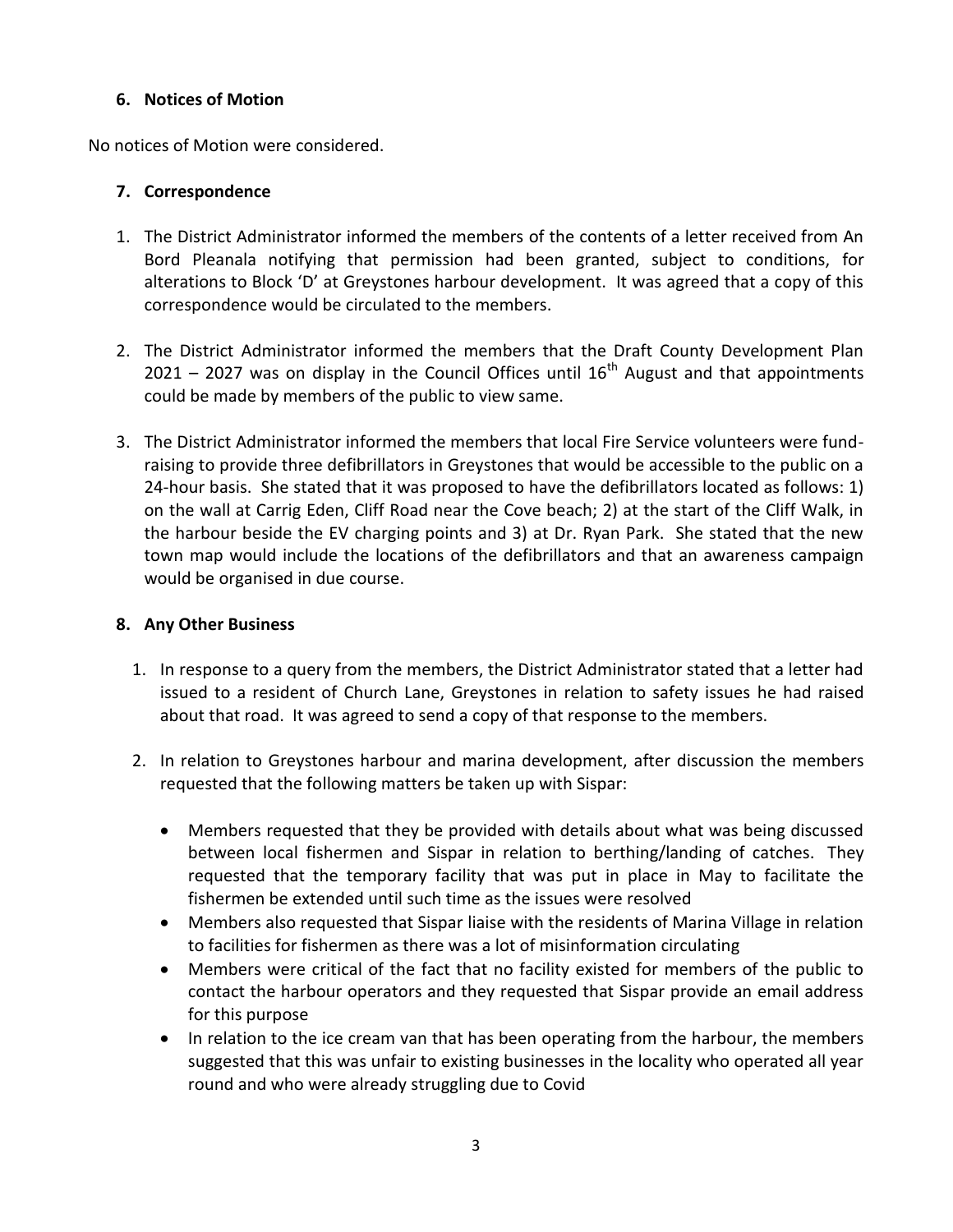#### **6. Notices of Motion**

No notices of Motion were considered.

### **7. Correspondence**

- 1. The District Administrator informed the members of the contents of a letter received from An Bord Pleanala notifying that permission had been granted, subject to conditions, for alterations to Block 'D' at Greystones harbour development. It was agreed that a copy of this correspondence would be circulated to the members.
- 2. The District Administrator informed the members that the Draft County Development Plan 2021 – 2027 was on display in the Council Offices until  $16<sup>th</sup>$  August and that appointments could be made by members of the public to view same.
- 3. The District Administrator informed the members that local Fire Service volunteers were fundraising to provide three defibrillators in Greystones that would be accessible to the public on a 24-hour basis. She stated that it was proposed to have the defibrillators located as follows: 1) on the wall at Carrig Eden, Cliff Road near the Cove beach; 2) at the start of the Cliff Walk, in the harbour beside the EV charging points and 3) at Dr. Ryan Park. She stated that the new town map would include the locations of the defibrillators and that an awareness campaign would be organised in due course.

### **8. Any Other Business**

- 1. In response to a query from the members, the District Administrator stated that a letter had issued to a resident of Church Lane, Greystones in relation to safety issues he had raised about that road. It was agreed to send a copy of that response to the members.
- 2. In relation to Greystones harbour and marina development, after discussion the members requested that the following matters be taken up with Sispar:
	- Members requested that they be provided with details about what was being discussed between local fishermen and Sispar in relation to berthing/landing of catches. They requested that the temporary facility that was put in place in May to facilitate the fishermen be extended until such time as the issues were resolved
	- Members also requested that Sispar liaise with the residents of Marina Village in relation to facilities for fishermen as there was a lot of misinformation circulating
	- Members were critical of the fact that no facility existed for members of the public to contact the harbour operators and they requested that Sispar provide an email address for this purpose
	- In relation to the ice cream van that has been operating from the harbour, the members suggested that this was unfair to existing businesses in the locality who operated all year round and who were already struggling due to Covid